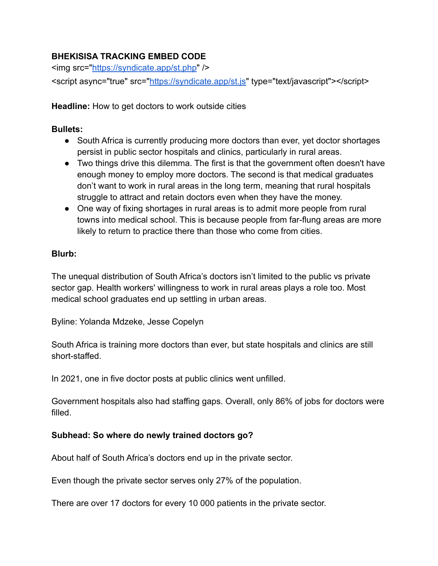# **BHEKISISA TRACKING EMBED CODE**

<img src="<https://syndicate.app/st.php>" /> <script async="true" src=["https://syndicate.app/st.js"](https://syndicate.app/st.js) type="text/javascript"></script>

**Headline:** How to get doctors to work outside cities

## **Bullets:**

- South Africa is currently producing more doctors than ever, yet doctor shortages persist in public sector hospitals and clinics, particularly in rural areas.
- Two things drive this dilemma. The first is that the government often doesn't have enough money to employ more doctors. The second is that medical graduates don't want to work in rural areas in the long term, meaning that rural hospitals struggle to attract and retain doctors even when they have the money.
- One way of fixing shortages in rural areas is to admit more people from rural towns into medical school. This is because people from far-flung areas are more likely to return to practice there than those who come from cities.

### **Blurb:**

The unequal distribution of South Africa's doctors isn't limited to the public vs private sector gap. Health workers' willingness to work in rural areas plays a role too. Most medical school graduates end up settling in urban areas.

Byline: Yolanda Mdzeke, Jesse Copelyn

South Africa is training more doctors than ever, but state hospitals and clinics are still short-staffed.

In 2021, one in five doctor posts at public clinics went unfilled.

Government hospitals also had staffing gaps. Overall, only 86% of jobs for doctors were filled.

## **Subhead: So where do newly trained doctors go?**

About half of South Africa's doctors end up in the private sector.

Even though the private sector serves only 27% of the population.

There are over 17 doctors for every 10 000 patients in the private sector.